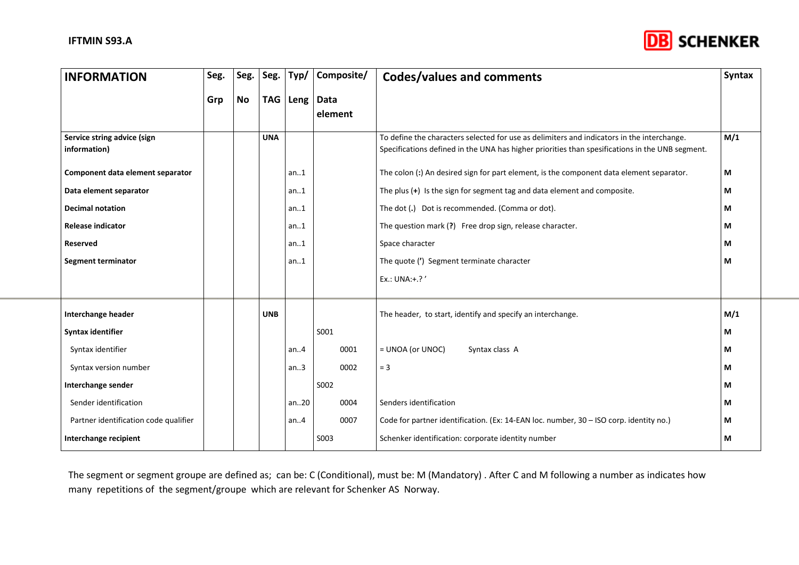

| <b>INFORMATION</b>                          | Seg. | Seg. | Seg.       | Typ/   | Composite/      | <b>Codes/values and comments</b>                                                                                                                                                              | <b>Syntax</b> |
|---------------------------------------------|------|------|------------|--------|-----------------|-----------------------------------------------------------------------------------------------------------------------------------------------------------------------------------------------|---------------|
|                                             | Grp  | No   | <b>TAG</b> | Leng   | Data<br>element |                                                                                                                                                                                               |               |
| Service string advice (sign<br>information) |      |      | <b>UNA</b> |        |                 | To define the characters selected for use as delimiters and indicators in the interchange.<br>Specifications defined in the UNA has higher priorities than spesifications in the UNB segment. | M/1           |
| Component data element separator            |      |      |            | an.1   |                 | The colon (:) An desired sign for part element, is the component data element separator.                                                                                                      | M             |
| Data element separator                      |      |      |            | an.1   |                 | The plus $(+)$ is the sign for segment tag and data element and composite.                                                                                                                    | М             |
| <b>Decimal notation</b>                     |      |      |            | an.1   |                 | The dot (.) Dot is recommended. (Comma or dot).                                                                                                                                               | М             |
| <b>Release indicator</b>                    |      |      |            | an.1   |                 | The question mark (?) Free drop sign, release character.                                                                                                                                      | м             |
| Reserved                                    |      |      |            | an.1   |                 | Space character                                                                                                                                                                               | М             |
| <b>Segment terminator</b>                   |      |      |            | an.1   |                 | The quote (') Segment terminate character                                                                                                                                                     | М             |
|                                             |      |      |            |        |                 | Ex.: UNA:+.?'                                                                                                                                                                                 |               |
| Interchange header                          |      |      | <b>UNB</b> |        |                 | The header, to start, identify and specify an interchange.                                                                                                                                    | M/1           |
| Syntax identifier                           |      |      |            |        | S001            |                                                                                                                                                                                               | М             |
| Syntax identifier                           |      |      |            | an $4$ | 0001            | = UNOA (or UNOC)<br>Syntax class A                                                                                                                                                            | М             |
| Syntax version number                       |      |      |            | an.3   | 0002            | $= 3$                                                                                                                                                                                         | М             |
| Interchange sender                          |      |      |            |        | S002            |                                                                                                                                                                                               | М             |
| Sender identification                       |      |      |            | an20   | 0004            | Senders identification                                                                                                                                                                        | М             |
| Partner identification code qualifier       |      |      |            | an.4   | 0007            | Code for partner identification. (Ex: 14-EAN loc. number, 30 - ISO corp. identity no.)                                                                                                        | М             |
| Interchange recipient                       |      |      |            |        | S003            | Schenker identification: corporate identity number                                                                                                                                            | М             |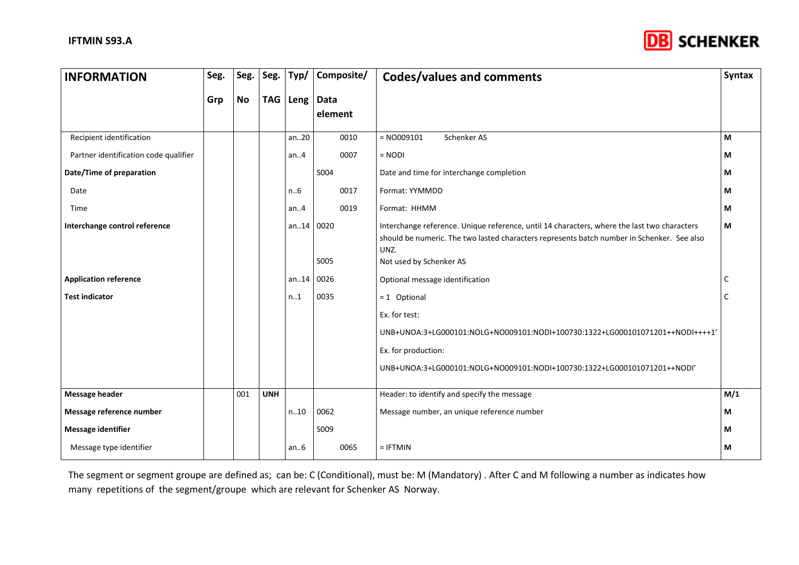

| <b>INFORMATION</b>                    | Seg. | Seg.      | Seg.       | Typ/        | Composite/   | Codes/values and comments                                                                                                                                                                                                    | <b>Syntax</b> |
|---------------------------------------|------|-----------|------------|-------------|--------------|------------------------------------------------------------------------------------------------------------------------------------------------------------------------------------------------------------------------------|---------------|
|                                       | Grp  | <b>No</b> | <b>TAG</b> | Leng   Data | element      |                                                                                                                                                                                                                              |               |
| Recipient identification              |      |           |            | an20        | 0010         | $= N0009101$<br>Schenker AS                                                                                                                                                                                                  | M             |
| Partner identification code qualifier |      |           |            | an.A        | 0007         | $= NODI$                                                                                                                                                                                                                     | М             |
| Date/Time of preparation              |      |           |            |             | S004         | Date and time for interchange completion                                                                                                                                                                                     | М             |
| Date                                  |      |           |            | n6          | 0017         | Format: YYMMDD                                                                                                                                                                                                               | М             |
| Time                                  |      |           |            | an.4        | 0019         | Format: HHMM                                                                                                                                                                                                                 | М             |
| Interchange control reference         |      |           |            | an14        | 0020<br>S005 | Interchange reference. Unique reference, until 14 characters, where the last two characters<br>should be numeric. The two lasted characters represents batch number in Schenker. See also<br>UNZ.<br>Not used by Schenker AS | M             |
| <b>Application reference</b>          |      |           |            | an14        | 0026         | Optional message identification                                                                                                                                                                                              | C             |
| <b>Test indicator</b>                 |      |           |            | n1          | 0035         | = 1 Optional                                                                                                                                                                                                                 |               |
|                                       |      |           |            |             |              | Ex. for test:                                                                                                                                                                                                                |               |
|                                       |      |           |            |             |              | UNB+UNOA:3+LG000101:NOLG+NO009101:NODI+100730:1322+LG000101071201++NODI++++1'                                                                                                                                                |               |
|                                       |      |           |            |             |              | Ex. for production:                                                                                                                                                                                                          |               |
|                                       |      |           |            |             |              | UNB+UNOA:3+LG000101:NOLG+NO009101:NODI+100730:1322+LG000101071201++NODI'                                                                                                                                                     |               |
| <b>Message header</b>                 |      | 001       | <b>UNH</b> |             |              | Header: to identify and specify the message                                                                                                                                                                                  | M/1           |
| Message reference number              |      |           |            | n10         | 0062         | Message number, an unique reference number                                                                                                                                                                                   | М             |
| <b>Message identifier</b>             |      |           |            |             | S009         |                                                                                                                                                                                                                              | М             |
| Message type identifier               |      |           |            | an $6$      | 0065         | $=$ IFTMIN                                                                                                                                                                                                                   | M             |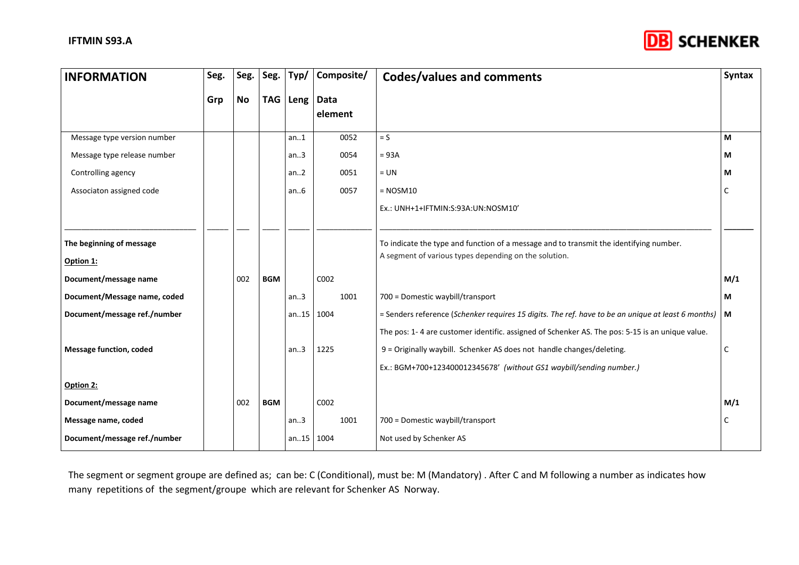

| <b>INFORMATION</b>             | Seg. | Seg. | Seg.       | Typ/        | Composite/ | <b>Codes/values and comments</b>                                                                         | <b>Syntax</b> |
|--------------------------------|------|------|------------|-------------|------------|----------------------------------------------------------------------------------------------------------|---------------|
|                                | Grp  | No   | <b>TAG</b> | Leng   Data | element    |                                                                                                          |               |
| Message type version number    |      |      |            | an.1        | 0052       | $= S$                                                                                                    | М             |
| Message type release number    |      |      |            | an.3        | 0054       | $= 93A$                                                                                                  | М             |
| Controlling agency             |      |      |            | an.2        | 0051       | $= UN$                                                                                                   | М             |
| Associaton assigned code       |      |      |            | an.6        | 0057       | $=$ NOSM10                                                                                               | C             |
|                                |      |      |            |             |            | Ex.: UNH+1+IFTMIN:S:93A:UN:NOSM10'                                                                       |               |
|                                |      |      |            |             |            |                                                                                                          |               |
| The beginning of message       |      |      |            |             |            | To indicate the type and function of a message and to transmit the identifying number.                   |               |
| Option 1:                      |      |      |            |             |            | A segment of various types depending on the solution.                                                    |               |
| Document/message name          |      | 002  | <b>BGM</b> |             | C002       |                                                                                                          | M/1           |
| Document/Message name, coded   |      |      |            | an.3        | 1001       | 700 = Domestic waybill/transport                                                                         | M             |
| Document/message ref./number   |      |      |            | an.15       | 1004       | = Senders reference (Schenker requires 15 digits. The ref. have to be an unique at least 6 months)   $M$ |               |
|                                |      |      |            |             |            | The pos: 1-4 are customer identific. assigned of Schenker AS. The pos: 5-15 is an unique value.          |               |
| <b>Message function, coded</b> |      |      |            | an.3        | 1225       | 9 = Originally waybill. Schenker AS does not handle changes/deleting.                                    | C             |
|                                |      |      |            |             |            | Ex.: BGM+700+123400012345678' (without GS1 waybill/sending number.)                                      |               |
| Option 2:                      |      |      |            |             |            |                                                                                                          |               |
| Document/message name          |      | 002  | <b>BGM</b> |             | C002       |                                                                                                          | M/1           |
| Message name, coded            |      |      |            | an.3        | 1001       | 700 = Domestic waybill/transport                                                                         | C             |
| Document/message ref./number   |      |      |            | an. $.15$   | 1004       | Not used by Schenker AS                                                                                  |               |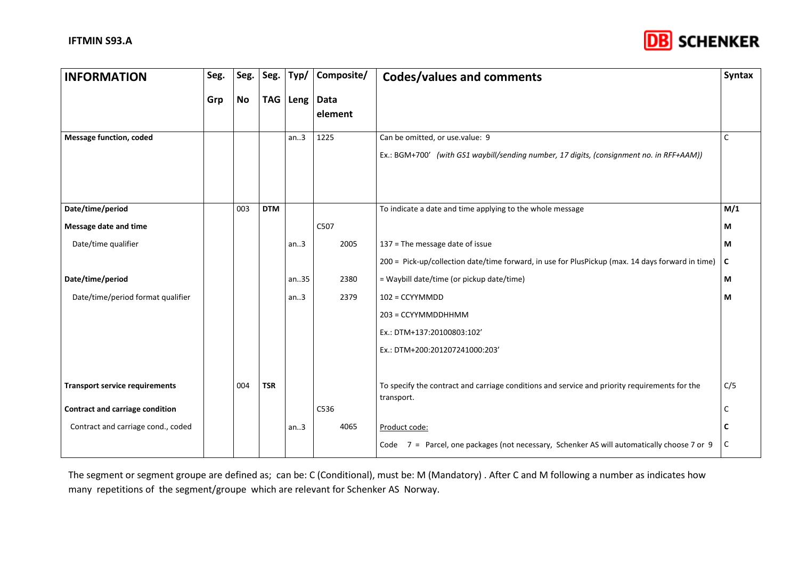

| <b>INFORMATION</b>                     | Seg. | Seg.      | Seg.       | Typ/ | Composite/      | <b>Codes/values and comments</b>                                                                                            | <b>Syntax</b> |
|----------------------------------------|------|-----------|------------|------|-----------------|-----------------------------------------------------------------------------------------------------------------------------|---------------|
|                                        | Grp  | <b>No</b> | <b>TAG</b> | Leng | Data<br>element |                                                                                                                             |               |
| Message function, coded                |      |           |            | an.3 | 1225            | Can be omitted, or use.value: 9<br>Ex.: BGM+700' (with GS1 waybill/sending number, 17 digits, (consignment no. in RFF+AAM)) | C             |
| Date/time/period                       |      | 003       | <b>DTM</b> |      |                 | To indicate a date and time applying to the whole message                                                                   | M/1           |
| <b>Message date and time</b>           |      |           |            |      | C507            |                                                                                                                             | М             |
| Date/time qualifier                    |      |           |            | an.3 | 2005            | 137 = The message date of issue                                                                                             | М             |
|                                        |      |           |            |      |                 | 200 = Pick-up/collection date/time forward, in use for PlusPickup (max. 14 days forward in time)                            | C             |
| Date/time/period                       |      |           |            | an35 | 2380            | = Waybill date/time (or pickup date/time)                                                                                   | М             |
| Date/time/period format qualifier      |      |           |            | an.3 | 2379            | 102 = CCYYMMDD                                                                                                              | М             |
|                                        |      |           |            |      |                 | 203 = CCYYMMDDHHMM                                                                                                          |               |
|                                        |      |           |            |      |                 | Ex.: DTM+137:20100803:102'                                                                                                  |               |
|                                        |      |           |            |      |                 | Ex.: DTM+200:201207241000:203'                                                                                              |               |
|                                        |      |           |            |      |                 |                                                                                                                             |               |
| <b>Transport service requirements</b>  |      | 004       | <b>TSR</b> |      |                 | To specify the contract and carriage conditions and service and priority requirements for the<br>transport.                 | C/5           |
| <b>Contract and carriage condition</b> |      |           |            |      | C536            |                                                                                                                             |               |
| Contract and carriage cond., coded     |      |           |            | an.3 | 4065            | Product code:                                                                                                               |               |
|                                        |      |           |            |      |                 | Code 7 = Parcel, one packages (not necessary, Schenker AS will automatically choose 7 or 9                                  | C             |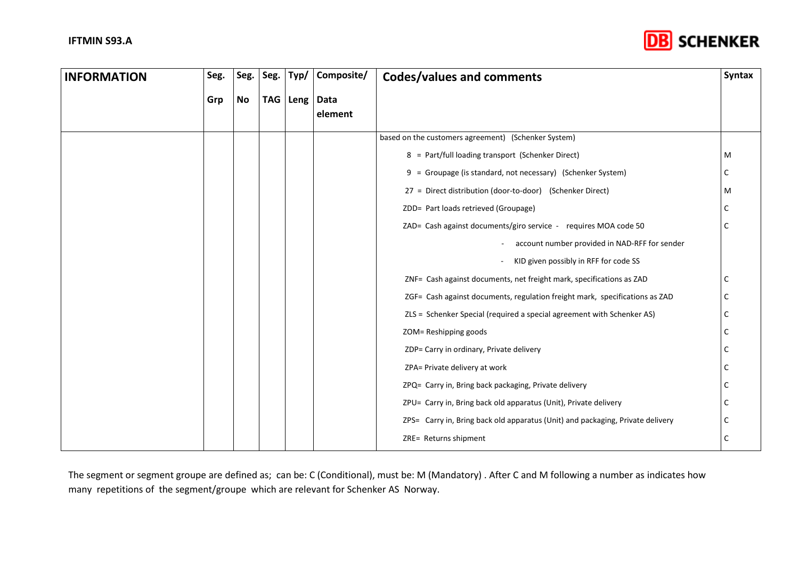

| <b>INFORMATION</b> | Seg. | Seg. | Seg. | Typ/ | Composite/             | Codes/values and comments                                                      | <b>Syntax</b> |
|--------------------|------|------|------|------|------------------------|--------------------------------------------------------------------------------|---------------|
|                    | Grp  | No   | TAG  |      | Leng   Data<br>element |                                                                                |               |
|                    |      |      |      |      |                        | based on the customers agreement) (Schenker System)                            |               |
|                    |      |      |      |      |                        | 8 = Part/full loading transport (Schenker Direct)                              | M             |
|                    |      |      |      |      |                        | 9 = Groupage (is standard, not necessary) (Schenker System)                    | C             |
|                    |      |      |      |      |                        | 27 = Direct distribution (door-to-door) (Schenker Direct)                      | M             |
|                    |      |      |      |      |                        | ZDD= Part loads retrieved (Groupage)                                           | C             |
|                    |      |      |      |      |                        | ZAD= Cash against documents/giro service - requires MOA code 50                | C             |
|                    |      |      |      |      |                        | account number provided in NAD-RFF for sender                                  |               |
|                    |      |      |      |      |                        | KID given possibly in RFF for code SS                                          |               |
|                    |      |      |      |      |                        | ZNF= Cash against documents, net freight mark, specifications as ZAD           | C             |
|                    |      |      |      |      |                        | ZGF= Cash against documents, regulation freight mark, specifications as ZAD    | C             |
|                    |      |      |      |      |                        | ZLS = Schenker Special (required a special agreement with Schenker AS)         |               |
|                    |      |      |      |      |                        | ZOM= Reshipping goods                                                          |               |
|                    |      |      |      |      |                        | ZDP= Carry in ordinary, Private delivery                                       |               |
|                    |      |      |      |      |                        | ZPA= Private delivery at work                                                  | C             |
|                    |      |      |      |      |                        | ZPQ= Carry in, Bring back packaging, Private delivery                          |               |
|                    |      |      |      |      |                        | ZPU= Carry in, Bring back old apparatus (Unit), Private delivery               |               |
|                    |      |      |      |      |                        | ZPS= Carry in, Bring back old apparatus (Unit) and packaging, Private delivery |               |
|                    |      |      |      |      |                        | ZRE= Returns shipment                                                          | C             |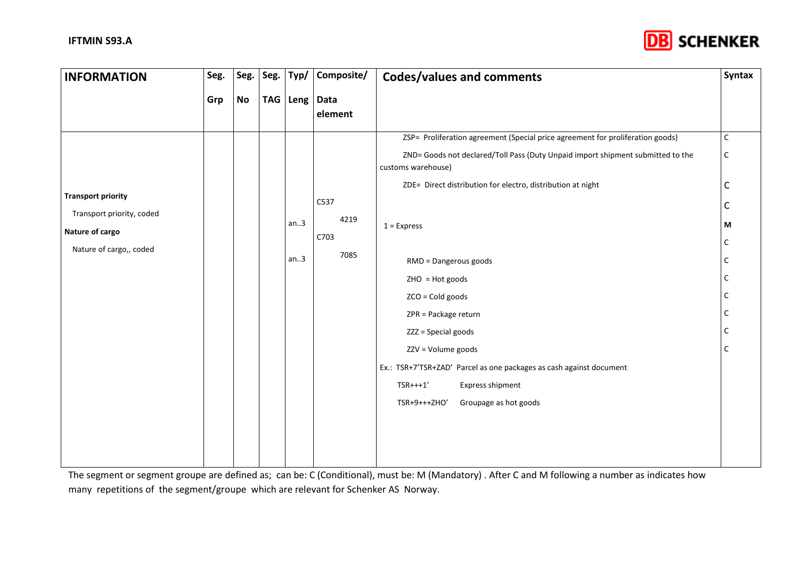

| <b>INFORMATION</b>        | Seg. | Seg.      | Seg. | Typ/      | Composite/ | <b>Codes/values and comments</b>                                                                      | Syntax |
|---------------------------|------|-----------|------|-----------|------------|-------------------------------------------------------------------------------------------------------|--------|
|                           | Grp  | <b>No</b> | TAG  | Leng Data | element    |                                                                                                       |        |
|                           |      |           |      |           |            | ZSP= Proliferation agreement (Special price agreement for proliferation goods)                        | C      |
|                           |      |           |      |           |            | ZND= Goods not declared/Toll Pass (Duty Unpaid import shipment submitted to the<br>customs warehouse) | C      |
|                           |      |           |      |           |            | ZDE= Direct distribution for electro, distribution at night                                           | С      |
| <b>Transport priority</b> |      |           |      |           | C537       |                                                                                                       | С      |
| Transport priority, coded |      |           |      | an.3      | 4219       | $1 = Express$                                                                                         | M      |
| Nature of cargo           |      |           |      |           | C703       |                                                                                                       | C      |
| Nature of cargo,, coded   |      |           |      | an.3      | 7085       | RMD = Dangerous goods                                                                                 | C      |
|                           |      |           |      |           |            | $ZHO = Hot goods$                                                                                     | C      |
|                           |      |           |      |           |            | $ZCO = Cold$ goods                                                                                    | C      |
|                           |      |           |      |           |            | ZPR = Package return                                                                                  | C      |
|                           |      |           |      |           |            | ZZZ = Special goods                                                                                   | C      |
|                           |      |           |      |           |            | ZZV = Volume goods                                                                                    | C      |
|                           |      |           |      |           |            | Ex.: TSR+7'TSR+ZAD' Parcel as one packages as cash against document                                   |        |
|                           |      |           |      |           |            | $TSR++1'$<br>Express shipment                                                                         |        |
|                           |      |           |      |           |            | Groupage as hot goods<br>TSR+9+++ZHO'                                                                 |        |
|                           |      |           |      |           |            |                                                                                                       |        |
|                           |      |           |      |           |            |                                                                                                       |        |
|                           |      |           |      |           |            |                                                                                                       |        |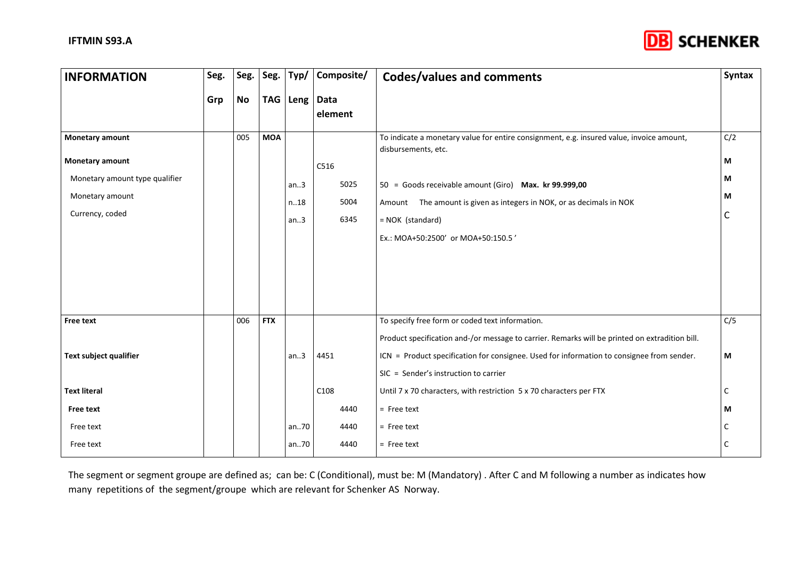

| <b>INFORMATION</b>                                                                                                | Seg. | Seg.      | Seg.       | Typ/                 | Composite/                   | <b>Codes/values and comments</b>                                                                                                                                                                                                                                                                           | <b>Syntax</b>           |
|-------------------------------------------------------------------------------------------------------------------|------|-----------|------------|----------------------|------------------------------|------------------------------------------------------------------------------------------------------------------------------------------------------------------------------------------------------------------------------------------------------------------------------------------------------------|-------------------------|
|                                                                                                                   | Grp  | <b>No</b> | <b>TAG</b> | Leng   Data          | element                      |                                                                                                                                                                                                                                                                                                            |                         |
| Monetary amount<br><b>Monetary amount</b><br>Monetary amount type qualifier<br>Monetary amount<br>Currency, coded |      | 005       | <b>MOA</b> | an.3<br>n.18<br>an.3 | C516<br>5025<br>5004<br>6345 | To indicate a monetary value for entire consignment, e.g. insured value, invoice amount,<br>disbursements, etc.<br>50 = Goods receivable amount (Giro) Max. kr 99.999,00<br>Amount The amount is given as integers in NOK, or as decimals in NOK<br>= NOK (standard)<br>Ex.: MOA+50:2500' or MOA+50:150.5' | C/2<br>М<br>М<br>М<br>C |
| <b>Free text</b><br>Text subject qualifier                                                                        |      | 006       | <b>FTX</b> | an.3                 | 4451                         | To specify free form or coded text information.<br>Product specification and-/or message to carrier. Remarks will be printed on extradition bill.<br>ICN = Product specification for consignee. Used for information to consignee from sender.<br>SIC = Sender's instruction to carrier                    | C/5<br>M                |
| <b>Text literal</b><br><b>Free text</b><br>Free text<br>Free text                                                 |      |           |            | an70<br>an70         | C108<br>4440<br>4440<br>4440 | Until 7 x 70 characters, with restriction 5 x 70 characters per FTX<br>$=$ Free text<br>$=$ Free text<br>$=$ Free text                                                                                                                                                                                     | C<br>М<br>C             |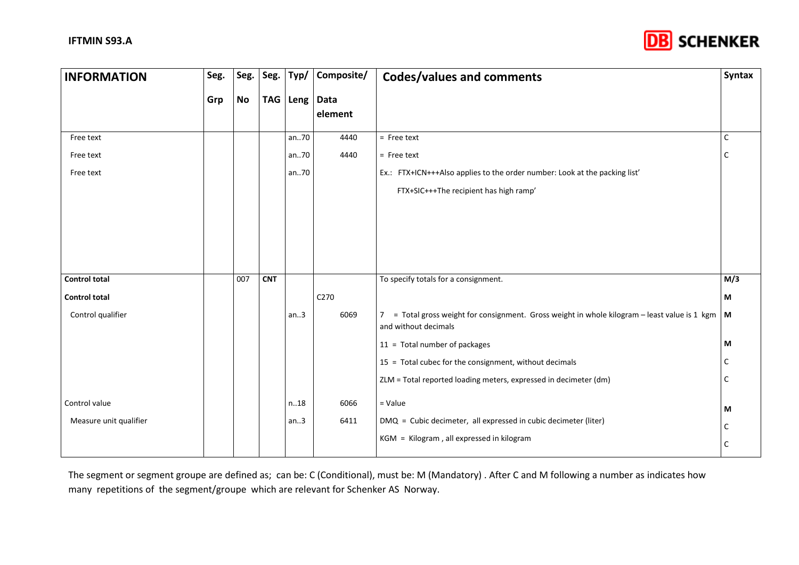

| <b>INFORMATION</b>     | Seg. | Seg. | Seg.       | Typ/              | Composite/ | <b>Codes/values and comments</b>                                                                                             | Syntax |
|------------------------|------|------|------------|-------------------|------------|------------------------------------------------------------------------------------------------------------------------------|--------|
|                        | Grp  | No   |            | TAG   Leng   Data | element    |                                                                                                                              |        |
| Free text              |      |      |            | an70              | 4440       | $=$ Free text                                                                                                                | C      |
| Free text              |      |      |            | an70              | 4440       | $=$ Free text                                                                                                                | C      |
| Free text              |      |      |            | an70              |            | Ex.: FTX+ICN+++Also applies to the order number: Look at the packing list'                                                   |        |
|                        |      |      |            |                   |            | FTX+SIC+++The recipient has high ramp'                                                                                       |        |
|                        |      |      |            |                   |            |                                                                                                                              |        |
|                        |      |      |            |                   |            |                                                                                                                              |        |
|                        |      |      |            |                   |            |                                                                                                                              |        |
|                        |      |      |            |                   |            |                                                                                                                              |        |
| <b>Control total</b>   |      | 007  | <b>CNT</b> |                   |            | To specify totals for a consignment.                                                                                         | M/3    |
| <b>Control total</b>   |      |      |            |                   | C270       |                                                                                                                              | M      |
| Control qualifier      |      |      |            | an.3              | 6069       | = Total gross weight for consignment. Gross weight in whole kilogram – least value is 1 kgm   M<br>7<br>and without decimals |        |
|                        |      |      |            |                   |            | 11 = Total number of packages                                                                                                | М      |
|                        |      |      |            |                   |            | 15 = Total cubec for the consignment, without decimals                                                                       | C      |
|                        |      |      |            |                   |            | ZLM = Total reported loading meters, expressed in decimeter (dm)                                                             | C      |
| Control value          |      |      |            | n.18              | 6066       | $=$ Value                                                                                                                    | М      |
| Measure unit qualifier |      |      |            | an.3              | 6411       | DMQ = Cubic decimeter, all expressed in cubic decimeter (liter)                                                              | C      |
|                        |      |      |            |                   |            | KGM = Kilogram, all expressed in kilogram                                                                                    | C      |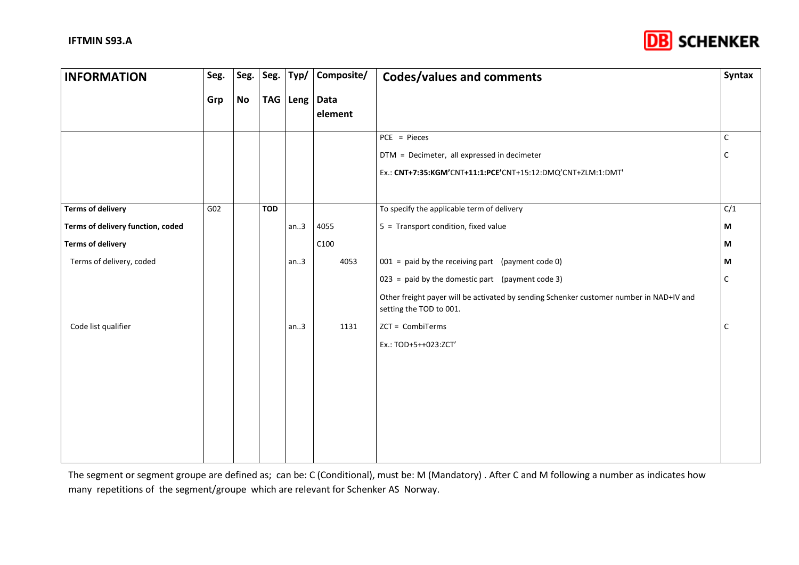

| Seg.<br><b>INFORMATION</b>        | Seg.      | Seg.       | Typ/      | Composite/ | <b>Codes/values and comments</b>                                                                                   | <b>Syntax</b> |
|-----------------------------------|-----------|------------|-----------|------------|--------------------------------------------------------------------------------------------------------------------|---------------|
| Grp                               | <b>No</b> | <b>TAG</b> | Leng Data | element    |                                                                                                                    |               |
|                                   |           |            |           |            | $PCE = Pieces$                                                                                                     | C             |
|                                   |           |            |           |            | DTM = Decimeter, all expressed in decimeter                                                                        | C             |
|                                   |           |            |           |            | Ex.: CNT+7:35:KGM'CNT+11:1:PCE'CNT+15:12:DMQ'CNT+ZLM:1:DMT'                                                        |               |
| <b>Terms of delivery</b><br>G02   |           | <b>TOD</b> |           |            | To specify the applicable term of delivery                                                                         | C/1           |
| Terms of delivery function, coded |           |            | an.3      | 4055       | 5 = Transport condition, fixed value                                                                               | M             |
| <b>Terms of delivery</b>          |           |            |           | C100       |                                                                                                                    | M             |
| Terms of delivery, coded          |           |            | an.3      | 4053       | $001 =$ paid by the receiving part (payment code 0)                                                                | М             |
|                                   |           |            |           |            | $023$ = paid by the domestic part (payment code 3)                                                                 | C             |
|                                   |           |            |           |            | Other freight payer will be activated by sending Schenker customer number in NAD+IV and<br>setting the TOD to 001. |               |
| Code list qualifier               |           |            | an.3      | 1131       | ZCT = CombiTerms                                                                                                   | C             |
|                                   |           |            |           |            | Ex.: TOD+5++023:ZCT'                                                                                               |               |
|                                   |           |            |           |            |                                                                                                                    |               |
|                                   |           |            |           |            |                                                                                                                    |               |
|                                   |           |            |           |            |                                                                                                                    |               |
|                                   |           |            |           |            |                                                                                                                    |               |
|                                   |           |            |           |            |                                                                                                                    |               |
|                                   |           |            |           |            |                                                                                                                    |               |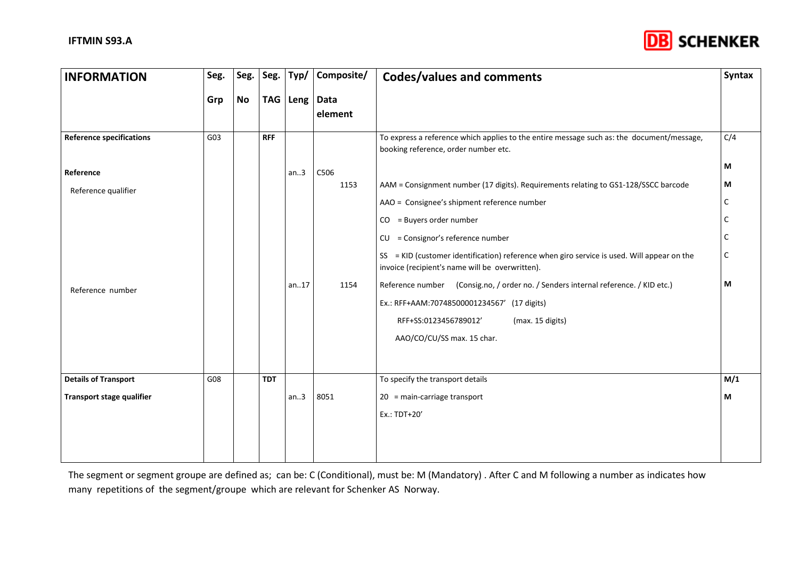

| <b>INFORMATION</b>              | Seg. | Seg.      | Seg.       | Typ/        | Composite/ | <b>Codes/values and comments</b>                                                                                                              | <b>Syntax</b> |
|---------------------------------|------|-----------|------------|-------------|------------|-----------------------------------------------------------------------------------------------------------------------------------------------|---------------|
|                                 | Grp  | <b>No</b> | <b>TAG</b> | Leng   Data | element    |                                                                                                                                               |               |
| <b>Reference specifications</b> | G03  |           | <b>RFF</b> |             |            | To express a reference which applies to the entire message such as: the document/message,<br>booking reference, order number etc.             | C/4           |
| Reference                       |      |           |            | an.3        | C506       |                                                                                                                                               | М             |
| Reference qualifier             |      |           |            |             | 1153       | AAM = Consignment number (17 digits). Requirements relating to GS1-128/SSCC barcode                                                           | М             |
|                                 |      |           |            |             |            | AAO = Consignee's shipment reference number                                                                                                   | C             |
|                                 |      |           |            |             |            | = Buyers order number<br>CO.                                                                                                                  |               |
|                                 |      |           |            |             |            | CU = Consignor's reference number                                                                                                             |               |
|                                 |      |           |            |             |            | SS = KID (customer identification) reference when giro service is used. Will appear on the<br>invoice (recipient's name will be overwritten). | C             |
| Reference number                |      |           |            | an.17       | 1154       | Reference number (Consig.no, / order no. / Senders internal reference. / KID etc.)                                                            | М             |
|                                 |      |           |            |             |            | Ex.: RFF+AAM:70748500001234567' (17 digits)                                                                                                   |               |
|                                 |      |           |            |             |            | RFF+SS:0123456789012'<br>(max. 15 digits)                                                                                                     |               |
|                                 |      |           |            |             |            | AAO/CO/CU/SS max. 15 char.                                                                                                                    |               |
|                                 |      |           |            |             |            |                                                                                                                                               |               |
| <b>Details of Transport</b>     | G08  |           | <b>TDT</b> |             |            | To specify the transport details                                                                                                              | M/1           |
| Transport stage qualifier       |      |           |            | an.3        | 8051       | 20 = main-carriage transport                                                                                                                  | М             |
|                                 |      |           |            |             |            | Ex.: TDT+20'                                                                                                                                  |               |
|                                 |      |           |            |             |            |                                                                                                                                               |               |
|                                 |      |           |            |             |            |                                                                                                                                               |               |
|                                 |      |           |            |             |            |                                                                                                                                               |               |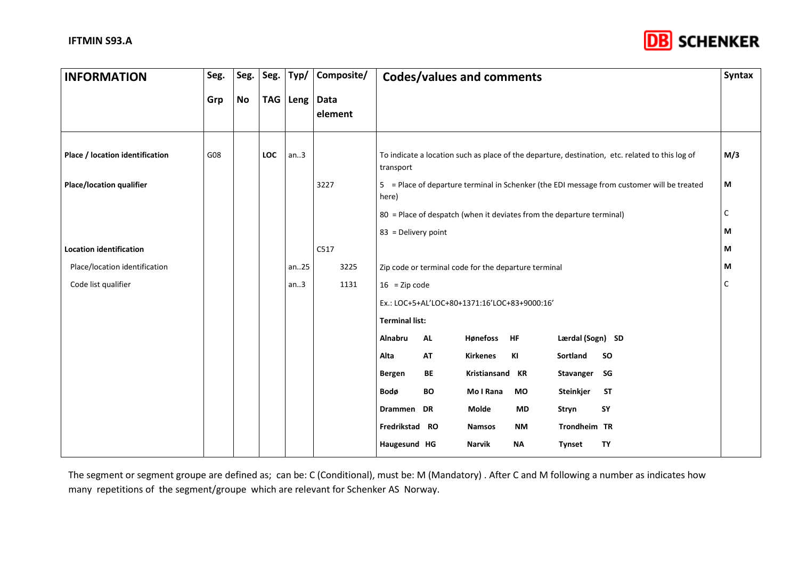

| <b>INFORMATION</b>              | Seg. | Seg.      | Seg.       | Typ/       | Composite/      | <b>Codes/values and comments</b>                                                                             | <b>Syntax</b> |
|---------------------------------|------|-----------|------------|------------|-----------------|--------------------------------------------------------------------------------------------------------------|---------------|
|                                 | Grp  | <b>No</b> |            | TAG   Leng | Data<br>element |                                                                                                              |               |
| Place / location identification | G08  |           | <b>LOC</b> | an.3       |                 | To indicate a location such as place of the departure, destination, etc. related to this log of<br>transport | M/3           |
| Place/location qualifier        |      |           |            |            | 3227            | 5 = Place of departure terminal in Schenker (the EDI message from customer will be treated<br>here)          | M             |
|                                 |      |           |            |            |                 | 80 = Place of despatch (when it deviates from the departure terminal)                                        | C             |
|                                 |      |           |            |            |                 | 83 = Delivery point                                                                                          | М             |
| <b>Location identification</b>  |      |           |            |            | C517            |                                                                                                              | М             |
| Place/location identification   |      |           |            | an25       | 3225            | Zip code or terminal code for the departure terminal                                                         | М             |
| Code list qualifier             |      |           |            | an.3       | 1131            | $16 = Zip code$                                                                                              | С             |
|                                 |      |           |            |            |                 | Ex.: LOC+5+AL'LOC+80+1371:16'LOC+83+9000:16'                                                                 |               |
|                                 |      |           |            |            |                 | <b>Terminal list:</b>                                                                                        |               |
|                                 |      |           |            |            |                 | Lærdal (Sogn) SD<br>Alnabru<br><b>AL</b><br>Hønefoss<br>HF                                                   |               |
|                                 |      |           |            |            |                 | KI<br>Alta<br><b>AT</b><br>Sortland<br><b>SO</b><br><b>Kirkenes</b>                                          |               |
|                                 |      |           |            |            |                 | BE<br>Kristiansand KR<br>Stavanger<br>SG<br><b>Bergen</b>                                                    |               |
|                                 |      |           |            |            |                 | Mo I Rana<br>Bodø<br>BO<br>Steinkjer<br><b>ST</b><br>МO                                                      |               |
|                                 |      |           |            |            |                 | <b>DR</b><br>Molde<br>SY<br>Drammen<br>MD<br>Stryn                                                           |               |
|                                 |      |           |            |            |                 | Trondheim TR<br>Fredrikstad RO<br><b>NM</b><br><b>Namsos</b>                                                 |               |
|                                 |      |           |            |            |                 | Haugesund HG<br><b>Narvik</b><br>TY<br><b>NA</b><br><b>Tynset</b>                                            |               |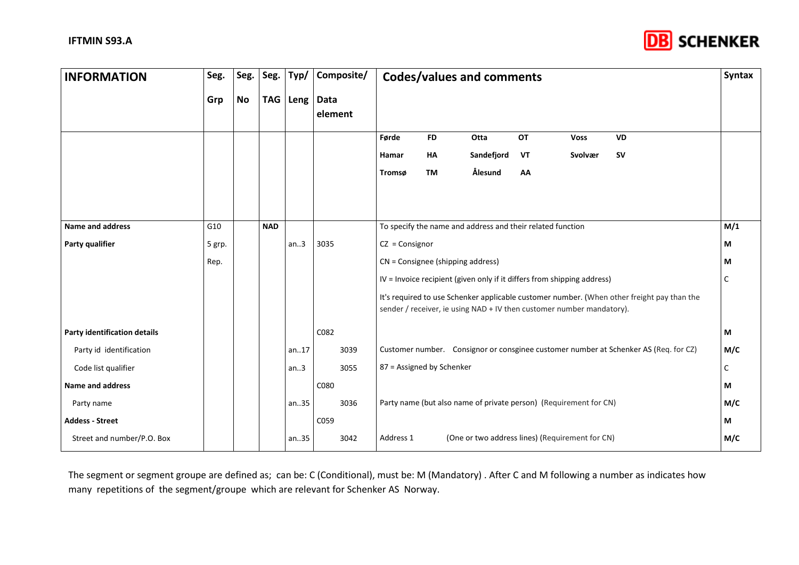

| <b>INFORMATION</b>                  | Seg.   | Seg.      | Seg.       | Typ/        | Composite/      | <b>Codes/values and comments</b>                                                                                                                                    | Syntax |
|-------------------------------------|--------|-----------|------------|-------------|-----------------|---------------------------------------------------------------------------------------------------------------------------------------------------------------------|--------|
|                                     | Grp    | <b>No</b> | <b>TAG</b> | <b>Leng</b> | Data<br>element |                                                                                                                                                                     |        |
|                                     |        |           |            |             |                 | Førde<br><b>FD</b><br>Otta<br><b>OT</b><br><b>VD</b><br><b>Voss</b>                                                                                                 |        |
|                                     |        |           |            |             |                 | Sandefjord<br><b>SV</b><br>HA<br>VT<br>Svolvær<br>Hamar                                                                                                             |        |
|                                     |        |           |            |             |                 | Ålesund<br><b>TM</b><br>AA<br>Tromsø                                                                                                                                |        |
|                                     |        |           |            |             |                 |                                                                                                                                                                     |        |
|                                     |        |           |            |             |                 |                                                                                                                                                                     |        |
| Name and address                    | G10    |           | <b>NAD</b> |             |                 | To specify the name and address and their related function                                                                                                          | M/1    |
| Party qualifier                     | 5 grp. |           |            | an.3        | 3035            | $CZ = Consignor$                                                                                                                                                    | М      |
|                                     | Rep.   |           |            |             |                 | CN = Consignee (shipping address)                                                                                                                                   | М      |
|                                     |        |           |            |             |                 | IV = Invoice recipient (given only if it differs from shipping address)                                                                                             | C      |
|                                     |        |           |            |             |                 | It's required to use Schenker applicable customer number. (When other freight pay than the<br>sender / receiver, ie using NAD + IV then customer number mandatory). |        |
| <b>Party identification details</b> |        |           |            |             | C082            |                                                                                                                                                                     | М      |
| Party id identification             |        |           |            | an.17       | 3039            | Customer number. Consignor or consginee customer number at Schenker AS (Req. for CZ)                                                                                | M/C    |
| Code list qualifier                 |        |           |            | an.3        | 3055            | 87 = Assigned by Schenker                                                                                                                                           | С      |
| Name and address                    |        |           |            |             | C080            |                                                                                                                                                                     | М      |
| Party name                          |        |           |            | an35        | 3036            | Party name (but also name of private person) (Requirement for CN)                                                                                                   | M/C    |
| <b>Addess - Street</b>              |        |           |            |             | C059            |                                                                                                                                                                     | М      |
| Street and number/P.O. Box          |        |           |            | an35        | 3042            | (One or two address lines) (Requirement for CN)<br>Address 1                                                                                                        | M/C    |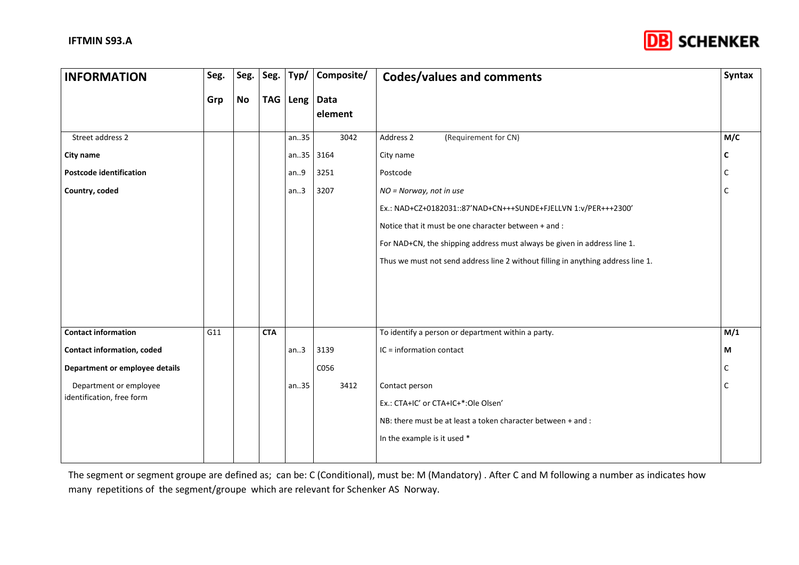

| <b>INFORMATION</b>             | Seg. | Seg.      | Seg.       | Typ/              | Composite/ | <b>Codes/values and comments</b>                                                 | <b>Syntax</b> |
|--------------------------------|------|-----------|------------|-------------------|------------|----------------------------------------------------------------------------------|---------------|
|                                | Grp  | <b>No</b> |            | TAG   Leng   Data | element    |                                                                                  |               |
| Street address 2               |      |           |            | an.35             | 3042       | (Requirement for CN)<br>Address 2                                                | M/C           |
| City name                      |      |           |            | an35 3164         |            | City name                                                                        | C             |
| <b>Postcode identification</b> |      |           |            | an.9              | 3251       | Postcode                                                                         |               |
| Country, coded                 |      |           |            | an.3              | 3207       | NO = Norway, not in use                                                          |               |
|                                |      |           |            |                   |            | Ex.: NAD+CZ+0182031::87'NAD+CN+++SUNDE+FJELLVN 1:v/PER+++2300'                   |               |
|                                |      |           |            |                   |            | Notice that it must be one character between + and :                             |               |
|                                |      |           |            |                   |            | For NAD+CN, the shipping address must always be given in address line 1.         |               |
|                                |      |           |            |                   |            | Thus we must not send address line 2 without filling in anything address line 1. |               |
|                                |      |           |            |                   |            |                                                                                  |               |
| <b>Contact information</b>     | G11  |           | <b>CTA</b> |                   |            | To identify a person or department within a party.                               | M/1           |
| Contact information, coded     |      |           |            | an.3              | 3139       | IC = information contact                                                         | М             |
| Department or employee details |      |           |            |                   | C056       |                                                                                  | C             |
| Department or employee         |      |           |            | an35              | 3412       | Contact person                                                                   |               |
| identification, free form      |      |           |            |                   |            | Ex.: CTA+IC' or CTA+IC+*:Ole Olsen'                                              |               |
|                                |      |           |            |                   |            | NB: there must be at least a token character between + and :                     |               |
|                                |      |           |            |                   |            | In the example is it used *                                                      |               |
|                                |      |           |            |                   |            |                                                                                  |               |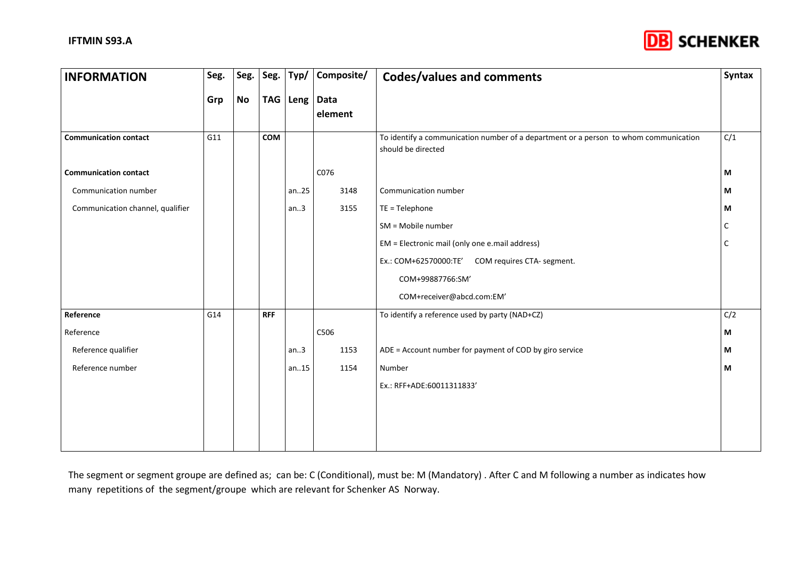

| <b>INFORMATION</b>               | Seg. | Seg. | Seg. $\vert$ | Typ/ | Composite/             | <b>Codes/values and comments</b>                                                                           | Syntax |
|----------------------------------|------|------|--------------|------|------------------------|------------------------------------------------------------------------------------------------------------|--------|
|                                  | Grp  | No   | TAG          |      | Leng   Data<br>element |                                                                                                            |        |
| <b>Communication contact</b>     | G11  |      | COM          |      |                        | To identify a communication number of a department or a person to whom communication<br>should be directed | C/1    |
| <b>Communication contact</b>     |      |      |              |      | C076                   |                                                                                                            | M      |
| Communication number             |      |      |              | an25 | 3148                   | Communication number                                                                                       | М      |
| Communication channel, qualifier |      |      |              | an.3 | 3155                   | $TE = Telephone$                                                                                           | М      |
|                                  |      |      |              |      |                        | SM = Mobile number                                                                                         | C      |
|                                  |      |      |              |      |                        | EM = Electronic mail (only one e.mail address)                                                             | C      |
|                                  |      |      |              |      |                        | Ex.: COM+62570000:TE' COM requires CTA- segment.                                                           |        |
|                                  |      |      |              |      |                        | COM+99887766:SM'                                                                                           |        |
|                                  |      |      |              |      |                        | COM+receiver@abcd.com:EM'                                                                                  |        |
| Reference                        | G14  |      | <b>RFF</b>   |      |                        | To identify a reference used by party (NAD+CZ)                                                             | C/2    |
| Reference                        |      |      |              |      | C506                   |                                                                                                            | M      |
| Reference qualifier              |      |      |              | an.3 | 1153                   | ADE = Account number for payment of COD by giro service                                                    | М      |
| Reference number                 |      |      |              | an15 | 1154                   | Number                                                                                                     | M      |
|                                  |      |      |              |      |                        | Ex.: RFF+ADE:60011311833'                                                                                  |        |
|                                  |      |      |              |      |                        |                                                                                                            |        |
|                                  |      |      |              |      |                        |                                                                                                            |        |
|                                  |      |      |              |      |                        |                                                                                                            |        |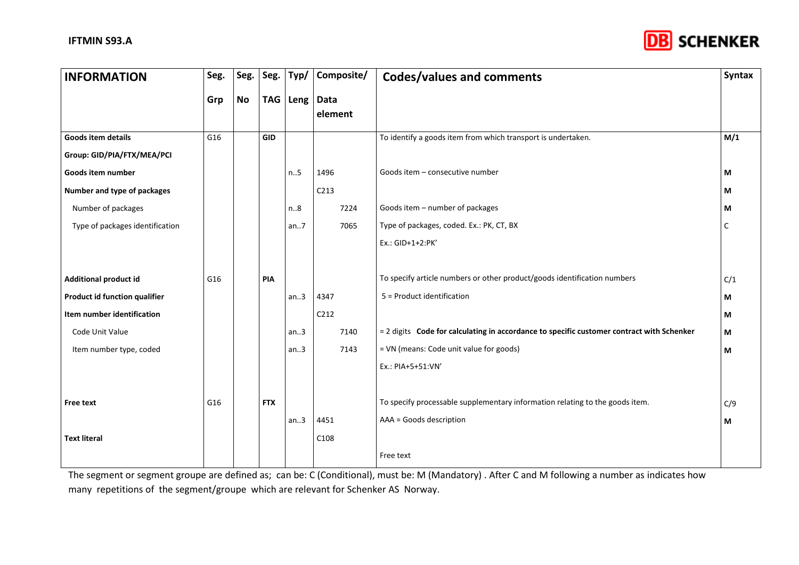

| <b>INFORMATION</b>              | Seg. | Seg.      | Seg.       | Typ/ | Composite/      | <b>Codes/values and comments</b>                                                          | <b>Syntax</b> |
|---------------------------------|------|-----------|------------|------|-----------------|-------------------------------------------------------------------------------------------|---------------|
|                                 | Grp  | <b>No</b> | <b>TAG</b> | Leng | Data<br>element |                                                                                           |               |
| Goods item details              | G16  |           | <b>GID</b> |      |                 | To identify a goods item from which transport is undertaken.                              | M/1           |
| Group: GID/PIA/FTX/MEA/PCI      |      |           |            |      |                 |                                                                                           |               |
| Goods item number               |      |           |            | n.5  | 1496            | Goods item - consecutive number                                                           | М             |
| Number and type of packages     |      |           |            |      | C213            |                                                                                           | М             |
| Number of packages              |      |           |            | n.8  | 7224            | Goods item - number of packages                                                           | М             |
| Type of packages identification |      |           |            | an.7 | 7065            | Type of packages, coded. Ex.: PK, CT, BX                                                  | C             |
|                                 |      |           |            |      |                 | Ex.: GID+1+2:PK'                                                                          |               |
| Additional product id           | G16  |           | PIA        |      |                 | To specify article numbers or other product/goods identification numbers                  | C/1           |
| Product id function qualifier   |      |           |            | an.3 | 4347            | 5 = Product identification                                                                | М             |
| Item number identification      |      |           |            |      | C212            |                                                                                           | М             |
| Code Unit Value                 |      |           |            | an.3 | 7140            | = 2 digits Code for calculating in accordance to specific customer contract with Schenker | M             |
| Item number type, coded         |      |           |            | an.3 | 7143            | = VN (means: Code unit value for goods)                                                   | М             |
|                                 |      |           |            |      |                 | Ex.: PIA+5+51:VN'                                                                         |               |
|                                 |      |           |            |      |                 |                                                                                           |               |
| <b>Free text</b>                | G16  |           | <b>FTX</b> |      |                 | To specify processable supplementary information relating to the goods item.              | C/9           |
|                                 |      |           |            | an.3 | 4451            | AAA = Goods description                                                                   | М             |
| <b>Text literal</b>             |      |           |            |      | C108            |                                                                                           |               |
|                                 |      |           |            |      |                 | Free text                                                                                 |               |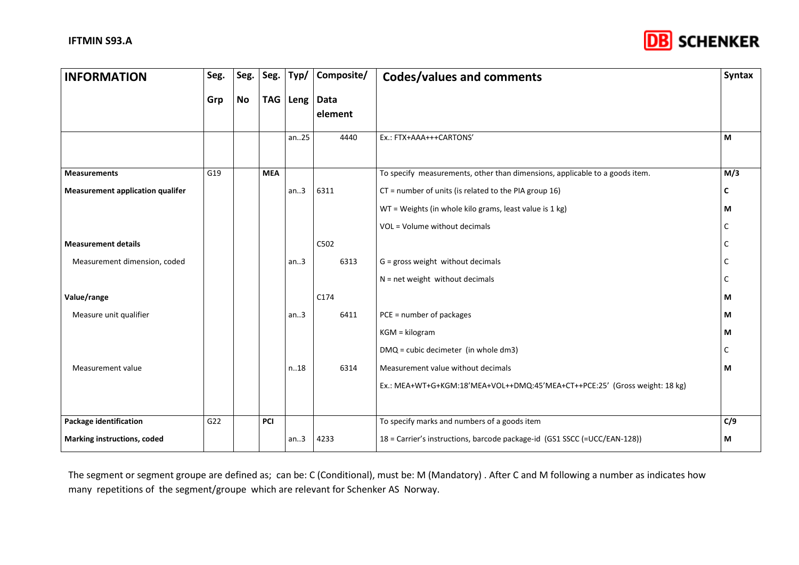

| <b>INFORMATION</b>                      | Seg. | Seg. | Seg.       | Typ/        | Composite/ | <b>Codes/values and comments</b>                                            | Syntax |
|-----------------------------------------|------|------|------------|-------------|------------|-----------------------------------------------------------------------------|--------|
|                                         | Grp  | No   | <b>TAG</b> | Leng   Data | element    |                                                                             |        |
|                                         |      |      |            | an.25       | 4440       | Ex.: FTX+AAA+++CARTONS'                                                     | М      |
| <b>Measurements</b>                     | G19  |      | <b>MEA</b> |             |            | To specify measurements, other than dimensions, applicable to a goods item. | M/3    |
| <b>Measurement application qualifer</b> |      |      |            | an.3        | 6311       | $CT$ = number of units (is related to the PIA group 16)                     | С      |
|                                         |      |      |            |             |            | WT = Weights (in whole kilo grams, least value is 1 kg)                     | М      |
|                                         |      |      |            |             |            | VOL = Volume without decimals                                               |        |
| <b>Measurement details</b>              |      |      |            |             | C502       |                                                                             | C      |
| Measurement dimension, coded            |      |      |            | an.3        | 6313       | $G =$ gross weight without decimals                                         | C      |
|                                         |      |      |            |             |            | $N = net weight without decimals$                                           | C      |
| Value/range                             |      |      |            |             | C174       |                                                                             | М      |
| Measure unit qualifier                  |      |      |            | an.3        | 6411       | PCE = number of packages                                                    | М      |
|                                         |      |      |            |             |            | KGM = kilogram                                                              | М      |
|                                         |      |      |            |             |            | DMQ = cubic decimeter (in whole dm3)                                        | C      |
| Measurement value                       |      |      |            | n.18        | 6314       | Measurement value without decimals                                          | М      |
|                                         |      |      |            |             |            | Ex.: MEA+WT+G+KGM:18'MEA+VOL++DMQ:45'MEA+CT++PCE:25' (Gross weight: 18 kg)  |        |
| <b>Package identification</b>           | G22  |      | PCI        |             |            | To specify marks and numbers of a goods item                                | C/9    |
| <b>Marking instructions, coded</b>      |      |      |            | an.3        | 4233       | 18 = Carrier's instructions, barcode package-id (GS1 SSCC (=UCC/EAN-128))   | М      |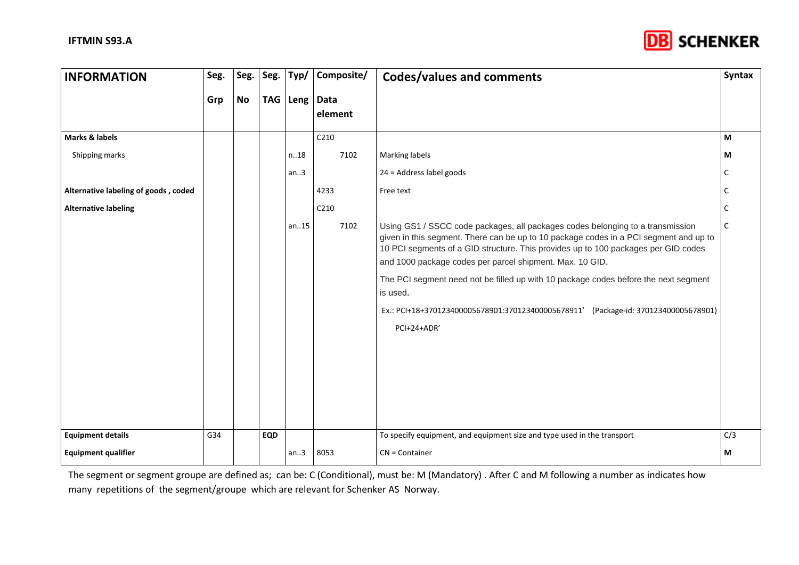

| <b>INFORMATION</b>                   | Seg. | Seg. | Seg.       | Typ/        | Composite/       | <b>Codes/values and comments</b>                                                                                                                                                                                                                                                                                                                                                                                                                                                                                                   | <b>Syntax</b> |
|--------------------------------------|------|------|------------|-------------|------------------|------------------------------------------------------------------------------------------------------------------------------------------------------------------------------------------------------------------------------------------------------------------------------------------------------------------------------------------------------------------------------------------------------------------------------------------------------------------------------------------------------------------------------------|---------------|
|                                      | Grp  | No   | <b>TAG</b> | Leng   Data | element          |                                                                                                                                                                                                                                                                                                                                                                                                                                                                                                                                    |               |
| Marks & labels                       |      |      |            |             | C <sub>210</sub> |                                                                                                                                                                                                                                                                                                                                                                                                                                                                                                                                    | M             |
| Shipping marks                       |      |      |            | n.18        | 7102             | Marking labels                                                                                                                                                                                                                                                                                                                                                                                                                                                                                                                     | М             |
|                                      |      |      |            | an.3        |                  | 24 = Address label goods                                                                                                                                                                                                                                                                                                                                                                                                                                                                                                           | C             |
| Alternative labeling of goods, coded |      |      |            |             | 4233             | Free text                                                                                                                                                                                                                                                                                                                                                                                                                                                                                                                          |               |
| <b>Alternative labeling</b>          |      |      |            |             | C210             |                                                                                                                                                                                                                                                                                                                                                                                                                                                                                                                                    | C             |
|                                      |      |      |            | an.15       | 7102             | Using GS1 / SSCC code packages, all packages codes belonging to a transmission<br>given in this segment. There can be up to 10 package codes in a PCI segment and up to<br>10 PCI segments of a GID structure. This provides up to 100 packages per GID codes<br>and 1000 package codes per parcel shipment. Max. 10 GID.<br>The PCI segment need not be filled up with 10 package codes before the next segment<br>is used.<br>Ex.: PCI+18+370123400005678901:370123400005678911' (Package-id: 370123400005678901)<br>PCI+24+ADR' | $\mathsf{C}$  |
| <b>Equipment details</b>             | G34  |      | <b>EQD</b> |             |                  | To specify equipment, and equipment size and type used in the transport                                                                                                                                                                                                                                                                                                                                                                                                                                                            | C/3           |
| <b>Equipment qualifier</b>           |      |      |            | an.3        | 8053             | $CN =$ Container                                                                                                                                                                                                                                                                                                                                                                                                                                                                                                                   | М             |